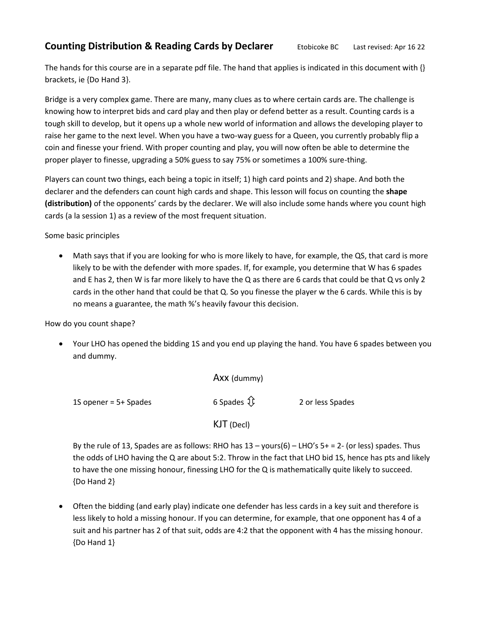## **Counting Distribution & Reading Cards by Declarer** Etobicoke BC Last revised: Apr 16 22

The hands for this course are in a separate pdf file. The hand that applies is indicated in this document with {} brackets, ie {Do Hand 3}.

Bridge is a very complex game. There are many, many clues as to where certain cards are. The challenge is knowing how to interpret bids and card play and then play or defend better as a result. Counting cards is a tough skill to develop, but it opens up a whole new world of information and allows the developing player to raise her game to the next level. When you have a two-way guess for a Queen, you currently probably flip a coin and finesse your friend. With proper counting and play, you will now often be able to determine the proper player to finesse, upgrading a 50% guess to say 75% or sometimes a 100% sure-thing.

Players can count two things, each being a topic in itself; 1) high card points and 2) shape. And both the declarer and the defenders can count high cards and shape. This lesson will focus on counting the **shape (distribution)** of the opponents' cards by the declarer. We will also include some hands where you count high cards (a la session 1) as a review of the most frequent situation.

Some basic principles

 Math says that if you are looking for who is more likely to have, for example, the QS, that card is more likely to be with the defender with more spades. If, for example, you determine that W has 6 spades and E has 2, then W is far more likely to have the Q as there are 6 cards that could be that Q vs only 2 cards in the other hand that could be that Q. So you finesse the player w the 6 cards. While this is by no means a guarantee, the math %'s heavily favour this decision.

How do you count shape?

 Your LHO has opened the bidding 1S and you end up playing the hand. You have 6 spades between you and dummy.

Axx (dummy)

1S opener = 5+ Spades  $\widehat{1}$  6 Spades  $\widehat{1}$  6 Spades 2 or less Spades

KJT (Decl)

By the rule of 13, Spades are as follows: RHO has  $13 -$ yours(6) – LHO's  $5+ = 2$ - (or less) spades. Thus the odds of LHO having the Q are about 5:2. Throw in the fact that LHO bid 1S, hence has pts and likely to have the one missing honour, finessing LHO for the Q is mathematically quite likely to succeed. {Do Hand 2}

 Often the bidding (and early play) indicate one defender has less cards in a key suit and therefore is less likely to hold a missing honour. If you can determine, for example, that one opponent has 4 of a suit and his partner has 2 of that suit, odds are 4:2 that the opponent with 4 has the missing honour. {Do Hand 1}